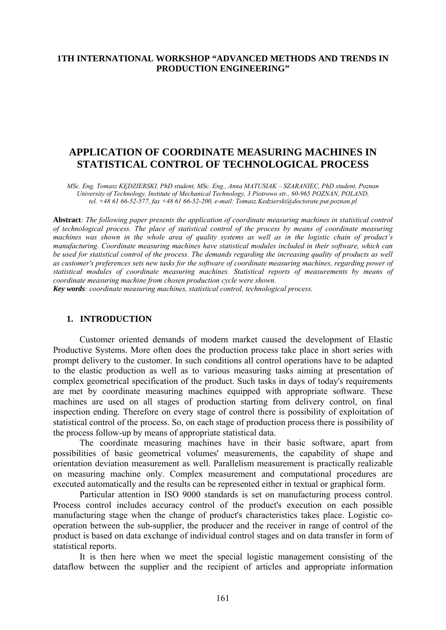## **1TH INTERNATIONAL WORKSHOP "ADVANCED METHODS AND TRENDS IN PRODUCTION ENGINEERING"**

# **APPLICATION OF COORDINATE MEASURING MACHINES IN STATISTICAL CONTROL OF TECHNOLOGICAL PROCESS**

*MSc. Eng. Tomasz KĘDZIERSKI, PhD student, MSc. Eng., Anna MATUSIAK – SZARANIEC, PhD student, Poznan University of Technology, Institute of Mechanical Technology, 3 Piotrowo str., 60-965 POZNAN, POLAND, tel. +48 61 66-52-577, fax +48 61 66-52-200, e-mail: [Tomasz.Kedzierski@doctorate.put.poznan.pl](mailto:Tomasz.Kedzierski@put.poznan.pl)*

**Abstract***: The following paper presents the application of coordinate measuring machines in statistical control of technological process. The place of statistical control of the process by means of coordinate measuring machines was shown in the whole area of quality systems as well as in the logistic chain of product's manufacturing. Coordinate measuring machines have statistical modules included in their software, which can be used for statistical control of the process. The demands regarding the increasing quality of products as well as customer's preferences sets new tasks for the software of coordinate measuring machines, regarding power of statistical modules of coordinate measuring machines. Statistical reports of measurements by means of coordinate measuring machine from chosen production cycle were shown.* 

*Key words: coordinate measuring machines, statistical control, technological process.* 

## **1. INTRODUCTION**

 Customer oriented demands of modern market caused the development of Elastic Productive Systems. More often does the production process take place in short series with prompt delivery to the customer. In such conditions all control operations have to be adapted to the elastic production as well as to various measuring tasks aiming at presentation of complex geometrical specification of the product. Such tasks in days of today's requirements are met by coordinate measuring machines equipped with appropriate software. These machines are used on all stages of production starting from delivery control, on final inspection ending. Therefore on every stage of control there is possibility of exploitation of statistical control of the process. So, on each stage of production process there is possibility of the process follow-up by means of appropriate statistical data.

The coordinate measuring machines have in their basic software, apart from possibilities of basic geometrical volumes' measurements, the capability of shape and orientation deviation measurement as well. Parallelism measurement is practically realizable on measuring machine only. Complex measurement and computational procedures are executed automatically and the results can be represented either in textual or graphical form.

 Particular attention in ISO 9000 standards is set on manufacturing process control. Process control includes accuracy control of the product's execution on each possible manufacturing stage when the change of product's characteristics takes place. Logistic cooperation between the sub-supplier, the producer and the receiver in range of control of the product is based on data exchange of individual control stages and on data transfer in form of statistical reports.

It is then here when we meet the special logistic management consisting of the dataflow between the supplier and the recipient of articles and appropriate information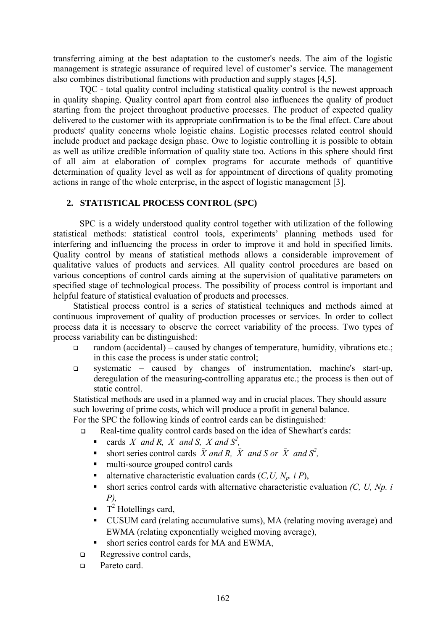transferring aiming at the best adaptation to the customer's needs. The aim of the logistic management is strategic assurance of required level of customer's service. The management also combines distributional functions with production and supply stages [4,5].

TQC - total quality control including statistical quality control is the newest approach in quality shaping. Quality control apart from control also influences the quality of product starting from the project throughout productive processes. The product of expected quality delivered to the customer with its appropriate confirmation is to be the final effect. Care about products' quality concerns whole logistic chains. Logistic processes related control should include product and package design phase. Owe to logistic controlling it is possible to obtain as well as utilize credible information of quality state too. Actions in this sphere should first of all aim at elaboration of complex programs for accurate methods of quantitive determination of quality level as well as for appointment of directions of quality promoting actions in range of the whole enterprise, in the aspect of logistic management [3].

## **2. STATISTICAL PROCESS CONTROL (SPC)**

SPC is a widely understood quality control together with utilization of the following statistical methods: statistical control tools, experiments' planning methods used for interfering and influencing the process in order to improve it and hold in specified limits. Quality control by means of statistical methods allows a considerable improvement of qualitative values of products and services. All quality control procedures are based on various conceptions of control cards aiming at the supervision of qualitative parameters on specified stage of technological process. The possibility of process control is important and helpful feature of statistical evaluation of products and processes.

Statistical process control is a series of statistical techniques and methods aimed at continuous improvement of quality of production processes or services. In order to collect process data it is necessary to observe the correct variability of the process. Two types of process variability can be distinguished:

- $\Box$  random (accidental) caused by changes of temperature, humidity, vibrations etc.; in this case the process is under static control;
- systematic caused by changes of instrumentation, machine's start-up, deregulation of the measuring-controlling apparatus etc.; the process is then out of static control.

Statistical methods are used in a planned way and in crucial places. They should assure such lowering of prime costs, which will produce a profit in general balance.

For the SPC the following kinds of control cards can be distinguished:

- □ Real-time quality control cards based on the idea of Shewhart's cards:<br>
cards  $\overline{X}$  and  $R$   $\overline{X}$  and  $S$   $\overline{X}$  and  $S^2$ 
	- cards  $\bar{X}$  and R,  $\bar{X}$  and S,  $\bar{X}$  and  $S^2$ ,
	- short series control cards  $\overline{X}$  and  $\overline{R}$ ,  $\overline{X}$  and  $\overline{S}$  or  $\overline{X}$  and  $S^2$ ,
	- multi-source grouped control cards
	- alternative characteristic evaluation cards  $(C, U, N_p, i, P)$ ,
	- short series control cards with alternative characteristic evaluation *(C, U, Np. i P),*
	- $\blacksquare$  T<sup>2</sup> Hotellings card,
	- CUSUM card (relating accumulative sums), MA (relating moving average) and EWMA (relating exponentially weighed moving average),
	- short series control cards for MA and EWMA,
- Regressive control cards,
- **Pareto card.**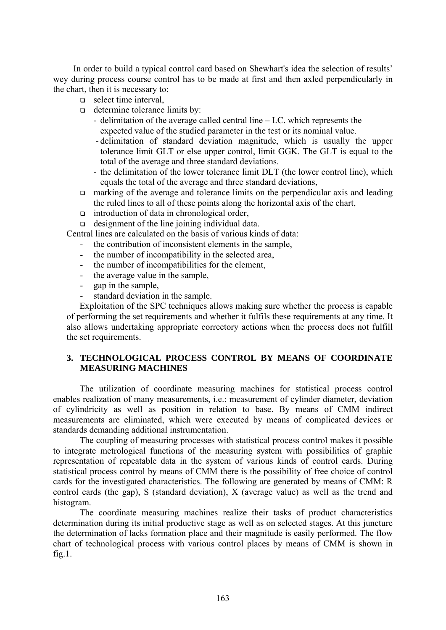In order to build a typical control card based on Shewhart's idea the selection of results' wey during process course control has to be made at first and then axled perpendicularly in the chart, then it is necessary to:

- $\Box$  select time interval,
- determine tolerance limits by:
	- delimitation of the average called central line LC. which represents the expected value of the studied parameter in the test or its nominal value.
	- delimitation of standard deviation magnitude, which is usually the upper tolerance limit GLT or else upper control, limit GGK. The GLT is equal to the total of the average and three standard deviations.
	- the delimitation of the lower tolerance limit DLT (the lower control line), which equals the total of the average and three standard deviations,
- $\Box$  marking of the average and tolerance limits on the perpendicular axis and leading the ruled lines to all of these points along the horizontal axis of the chart,
- $\Box$  introduction of data in chronological order,

designment of the line joining individual data.

Central lines are calculated on the basis of various kinds of data:

- the contribution of inconsistent elements in the sample.
- the number of incompatibility in the selected area,
- the number of incompatibilities for the element,
- the average value in the sample,
- gap in the sample,
- standard deviation in the sample.

Exploitation of the SPC techniques allows making sure whether the process is capable of performing the set requirements and whether it fulfils these requirements at any time. It also allows undertaking appropriate correctory actions when the process does not fulfill the set requirements.

## **3. TECHNOLOGICAL PROCESS CONTROL BY MEANS OF COORDINATE MEASURING MACHINES**

The utilization of coordinate measuring machines for statistical process control enables realization of many measurements, i.e.: measurement of cylinder diameter, deviation of cylindricity as well as position in relation to base. By means of CMM indirect measurements are eliminated, which were executed by means of complicated devices or standards demanding additional instrumentation.

The coupling of measuring processes with statistical process control makes it possible to integrate metrological functions of the measuring system with possibilities of graphic representation of repeatable data in the system of various kinds of control cards. During statistical process control by means of CMM there is the possibility of free choice of control cards for the investigated characteristics. The following are generated by means of CMM: R control cards (the gap), S (standard deviation), X (average value) as well as the trend and histogram.

The coordinate measuring machines realize their tasks of product characteristics determination during its initial productive stage as well as on selected stages. At this juncture the determination of lacks formation place and their magnitude is easily performed. The flow chart of technological process with various control places by means of CMM is shown in  $fig.1$ .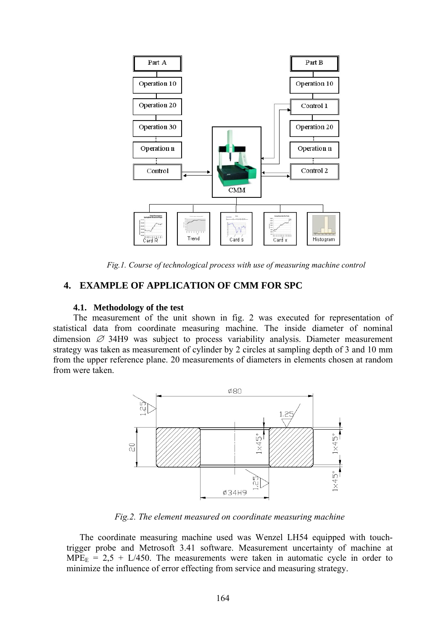

*Fig.1. Course of technological process with use of measuring machine control* 

## **4. EXAMPLE OF APPLICATION OF CMM FOR SPC**

#### **4.1. Methodology of the test**

The measurement of the unit shown in fig. 2 was executed for representation of statistical data from coordinate measuring machine. The inside diameter of nominal dimension  $\varnothing$  34H9 was subject to process variability analysis. Diameter measurement strategy was taken as measurement of cylinder by 2 circles at sampling depth of 3 and 10 mm from the upper reference plane. 20 measurements of diameters in elements chosen at random from were taken.



*Fig.2. The element measured on coordinate measuring machine*

The coordinate measuring machine used was Wenzel LH54 equipped with touchtrigger probe and Metrosoft 3.41 software. Measurement uncertainty of machine at  $MPE<sub>E</sub> = 2.5 + L/450$ . The measurements were taken in automatic cycle in order to minimize the influence of error effecting from service and measuring strategy.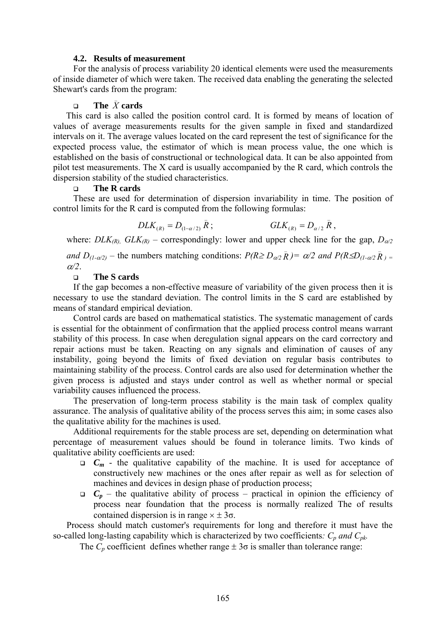#### **4.2. Results of measurement**

For the analysis of process variability 20 identical elements were used the measurements of inside diameter of which were taken. The received data enabling the generating the selected Shewart's cards from the program:

# $\square$  **The**  $\overline{X}$  **cards**

This card is also called the position control card. It is formed by means of location of values of average measurements results for the given sample in fixed and standardized intervals on it. The average values located on the card represent the test of significance for the expected process value, the estimator of which is mean process value, the one which is established on the basis of constructional or technological data. It can be also appointed from pilot test measurements. The X card is usually accompanied by the R card, which controls the dispersion stability of the studied characteristics.

#### **The R cards**

These are used for determination of dispersion invariability in time. The position of control limits for the R card is computed from the following formulas:

$$
DLK_{(R)} = D_{(1-\alpha/2)} \bar{R}; \qquad GLK_{(R)} = D_{\alpha/2} \bar{R},
$$

 $\mathcal{L}(\mathcal{L})$ 

where: *DLK<sub>(R)</sub>*, *GLK<sub>(R)</sub>* – correspondingly: lower and upper check line for the gap,  $D_{\alpha/2}$ 

*and*  $D_{(1-\alpha/2)}$  – the numbers matching conditions:  $P(R \ge D_{\alpha/2} \bar{R}) = \alpha/2$  and  $P(R \le D_{(1-\alpha/2} \bar{R}) =$ <sup>α</sup>*/2*.

## **The S cards**

If the gap becomes a non-effective measure of variability of the given process then it is necessary to use the standard deviation. The control limits in the S card are established by means of standard empirical deviation.

Control cards are based on mathematical statistics. The systematic management of cards is essential for the obtainment of confirmation that the applied process control means warrant stability of this process. In case when deregulation signal appears on the card correctory and repair actions must be taken. Reacting on any signals and elimination of causes of any instability, going beyond the limits of fixed deviation on regular basis contributes to maintaining stability of the process. Control cards are also used for determination whether the given process is adjusted and stays under control as well as whether normal or special variability causes influenced the process.

The preservation of long-term process stability is the main task of complex quality assurance. The analysis of qualitative ability of the process serves this aim; in some cases also the qualitative ability for the machines is used.

Additional requirements for the stable process are set, depending on determination what percentage of measurement values should be found in tolerance limits. Two kinds of qualitative ability coefficients are used:

- $C_m$  the qualitative capability of the machine. It is used for acceptance of constructively new machines or the ones after repair as well as for selection of machines and devices in design phase of production process;
- $C_p$  the qualitative ability of process practical in opinion the efficiency of process near foundation that the process is normally realized The of results contained dispersion is in range  $\times \pm 3\sigma$ .

Process should match customer's requirements for long and therefore it must have the so-called long-lasting capability which is characterized by two coefficients:  $C_p$  and  $C_{pk}$ .

The  $C_p$  coefficient defines whether range  $\pm 3\sigma$  is smaller than tolerance range: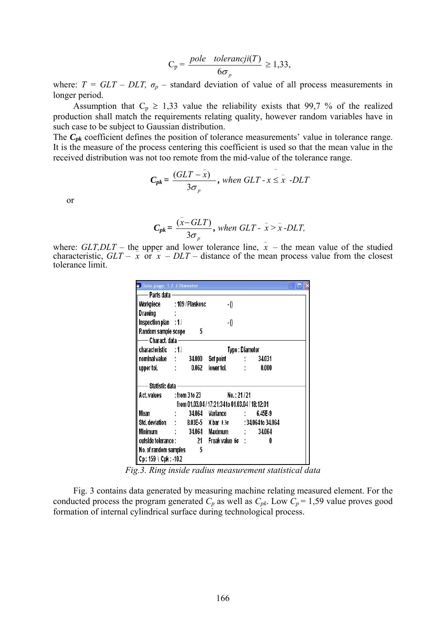$$
C_p = \frac{pole \quad toleranceji(T)}{6\sigma_p} \ge 1,33,
$$

where:  $T = GLT - DLT$ ,  $\sigma_p$  – standard deviation of value of all process measurements in longer period.

Assumption that  $C_p \ge 1,33$  value the reliability exists that 99,7 % of the realized production shall match the requirements relating quality, however random variables have in such case to be subject to Gaussian distribution.

The  $C_{pk}$  coefficient defines the position of tolerance measurements' value in tolerance range. It is the measure of the process centering this coefficient is used so that the mean value in the received distribution was not too remote from the mid-value of the tolerance range.

 $\mathcal{L}(\mathcal{L})$ 

$$
C_{pk} = \frac{(GLT - x)}{3\sigma_p}
$$
, when GLT - x \leq x -DLT

 $\mathcal{L}(\mathcal{L})$ 

or

$$
C_{pk} = \frac{(\bar{x} - GLT)}{3\sigma_p}
$$
, when GLT -  $\bar{x} > \bar{x}$ -DLT,

where: *GLT,DLT* – the upper and lower tolerance line,  $\bar{x}$  – the mean value of the studied where:  $GLI,DLI$  – the upper and lower tolerance line,  $x$  – the mean value of the studied characteristic,  $GLT - x$  or  $x - DLT$  – distance of the mean process value from the closest tolerance limit.

| Data page: 1 / / Diameter                              |                                          |        |                           |  |         |  |
|--------------------------------------------------------|------------------------------------------|--------|---------------------------|--|---------|--|
|                                                        |                                          |        |                           |  |         |  |
| Workpiece : 109 / Plaskosc                             |                                          |        | -0                        |  |         |  |
| Drawing                                                |                                          |        |                           |  |         |  |
| Inspection plan : 1 /                                  |                                          |        | $\cdot$ ()                |  |         |  |
| Random sample scope 5                                  |                                          |        |                           |  |         |  |
| — Charact. data ————                                   |                                          |        |                           |  |         |  |
| characteristic : 1/                                    | Type: Diameter                           |        |                           |  |         |  |
| nominal value : 34.000                                 |                                          |        | Set point : 34.031        |  |         |  |
| upper tol. : 0.062                                     |                                          |        |                           |  | 0.000   |  |
| - Statistic data -                                     |                                          |        |                           |  |         |  |
|                                                        | Act. values : from 3 to 23<br>No.: 21/21 |        |                           |  |         |  |
| from 01.03.04 / 17:21:34 to 01.03.04 / 18:12:01        |                                          |        |                           |  |         |  |
| Mean                                                   |                                          | 34.064 | Variance :                |  | 6.45E-9 |  |
| Std. deviation : 8.03E-5 X bar ± 36 : 34.064 to 34.064 |                                          |        |                           |  |         |  |
| Minimum                                                |                                          |        | : 34.064 Maximum : 34.064 |  |         |  |
| outside tolerance: 21 Freak value 6 c:                 |                                          |        |                           |  | 0       |  |
| No. of random samples 5                                |                                          |        |                           |  |         |  |
| Cp: 159 \ Cpk: -10.2                                   |                                          |        |                           |  |         |  |

*Fig.3. Ring inside radius measurement statistical data* 

Fig. 3 contains data generated by measuring machine relating measured element. For the conducted process the program generated  $C_p$  as well as  $C_{pk}$ . Low  $C_p = 1,59$  value proves good formation of internal cylindrical surface during technological process.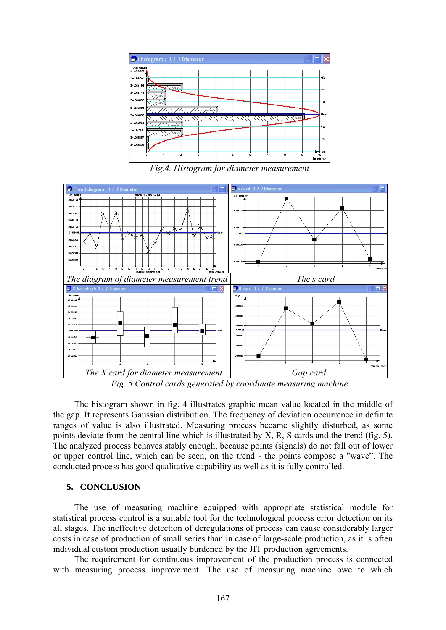

*Fig.4. Histogram for diameter measurement* 



*Fig. 5 Control cards generated by coordinate measuring machine* 

The histogram shown in fig. 4 illustrates graphic mean value located in the middle of the gap. It represents Gaussian distribution. The frequency of deviation occurrence in definite ranges of value is also illustrated. Measuring process became slightly disturbed, as some points deviate from the central line which is illustrated by X, R, S cards and the trend (fig. 5). The analyzed process behaves stably enough, because points (signals) do not fall out of lower or upper control line, which can be seen, on the trend - the points compose a "wave". The conducted process has good qualitative capability as well as it is fully controlled.

### **5. CONCLUSION**

The use of measuring machine equipped with appropriate statistical module for statistical process control is a suitable tool for the technological process error detection on its all stages. The ineffective detection of deregulations of process can cause considerably larger costs in case of production of small series than in case of large-scale production, as it is often individual custom production usually burdened by the JIT production agreements.

 The requirement for continuous improvement of the production process is connected with measuring process improvement. The use of measuring machine owe to which